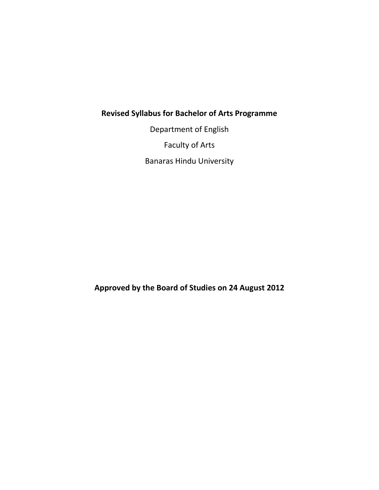# **Revised Syllabus for Bachelor of Arts Programme**

Department of English Faculty of Arts Banaras Hindu University

**Approved by the Board of Studies on 24 August 2012**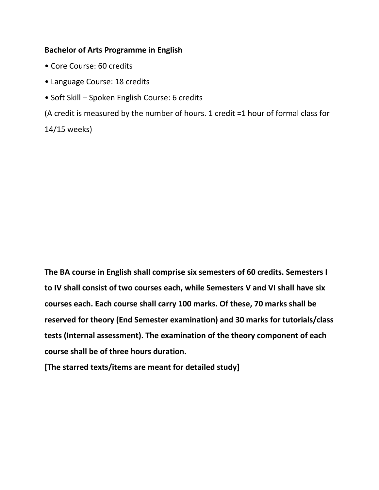#### **Bachelor of Arts Programme in English**

- Core Course: 60 credits
- Language Course: 18 credits
- Soft Skill Spoken English Course: 6 credits

(A credit is measured by the number of hours. 1 credit =1 hour of formal class for

14/15 weeks)

**The BA course in English shall comprise six semesters of 60 credits. Semesters I to IV shall consist of two courses each, while Semesters V and VI shall have six courses each. Each course shall carry 100 marks. Of these, 70 marks shall be reserved for theory (End Semester examination) and 30 marks for tutorials/class tests (Internal assessment). The examination of the theory component of each course shall be of three hours duration.**

**[The starred texts/items are meant for detailed study]**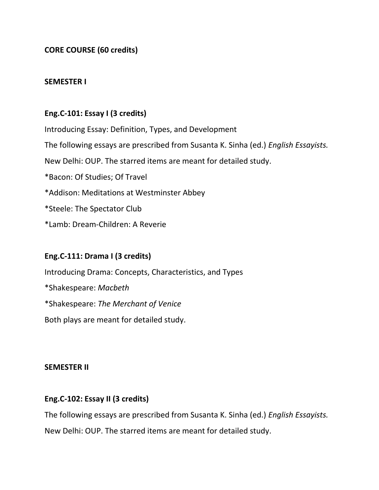**CORE COURSE (60 credits)**

### **SEMESTER I**

# **Eng.C-101: Essay I (3 credits)**

Introducing Essay: Definition, Types, and Development The following essays are prescribed from Susanta K. Sinha (ed.) *English Essayists.*  New Delhi: OUP. The starred items are meant for detailed study. \*Bacon: Of Studies; Of Travel \*Addison: Meditations at Westminster Abbey \*Steele: The Spectator Club \*Lamb: Dream-Children: A Reverie

# **Eng.C-111: Drama I (3 credits)**

Introducing Drama: Concepts, Characteristics, and Types \*Shakespeare: *Macbeth* \*Shakespeare: *The Merchant of Venice* Both plays are meant for detailed study.

#### **SEMESTER II**

# **Eng.C-102: Essay II (3 credits)**

The following essays are prescribed from Susanta K. Sinha (ed.) *English Essayists.*  New Delhi: OUP. The starred items are meant for detailed study.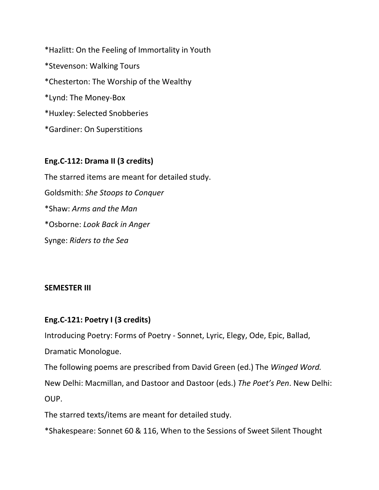\*Hazlitt: On the Feeling of Immortality in Youth \*Stevenson: Walking Tours \*Chesterton: The Worship of the Wealthy \*Lynd: The Money-Box \*Huxley: Selected Snobberies \*Gardiner: On Superstitions

### **Eng.C-112: Drama II (3 credits)**

The starred items are meant for detailed study. Goldsmith: *She Stoops to Conquer* \*Shaw: *Arms and the Man* \*Osborne: *Look Back in Anger* Synge: *Riders to the Sea*

#### **SEMESTER III**

### **Eng.C-121: Poetry I (3 credits)**

Introducing Poetry: Forms of Poetry - Sonnet, Lyric, Elegy, Ode, Epic, Ballad, Dramatic Monologue.

The following poems are prescribed from David Green (ed.) The *Winged Word.* New Delhi: Macmillan, and Dastoor and Dastoor (eds.) *The Poet's Pen*. New Delhi: OUP.

The starred texts/items are meant for detailed study.

\*Shakespeare: Sonnet 60 & 116, When to the Sessions of Sweet Silent Thought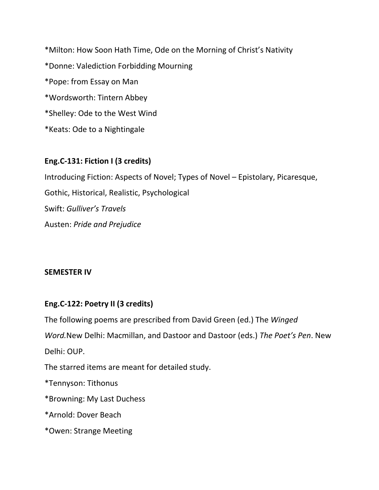\*Milton: How Soon Hath Time, Ode on the Morning of Christ's Nativity \*Donne: Valediction Forbidding Mourning \*Pope: from Essay on Man \*Wordsworth: Tintern Abbey \*Shelley: Ode to the West Wind \*Keats: Ode to a Nightingale

# **Eng.C-131: Fiction I (3 credits)**

Introducing Fiction: Aspects of Novel; Types of Novel – Epistolary, Picaresque, Gothic, Historical, Realistic, Psychological Swift: *Gulliver's Travels* Austen: *Pride and Prejudice*

### **SEMESTER IV**

# **Eng.C-122: Poetry II (3 credits)**

The following poems are prescribed from David Green (ed.) The *Winged Word.*New Delhi: Macmillan, and Dastoor and Dastoor (eds.) *The Poet's Pen*. New

Delhi: OUP.

The starred items are meant for detailed study.

\*Tennyson: Tithonus

\*Browning: My Last Duchess

\*Arnold: Dover Beach

\*Owen: Strange Meeting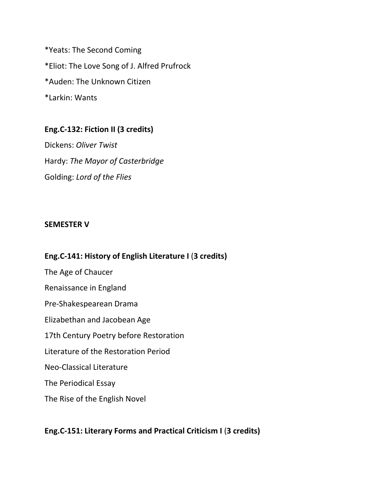\*Yeats: The Second Coming \*Eliot: The Love Song of J. Alfred Prufrock \*Auden: The Unknown Citizen \*Larkin: Wants

# **Eng.C-132: Fiction II (3 credits)**

Dickens: *Oliver Twist* Hardy: *The Mayor of Casterbridge* Golding: *Lord of the Flies*

#### **SEMESTER V**

# **Eng.C-141: History of English Literature I** (**3 credits)** The Age of Chaucer Renaissance in England Pre-Shakespearean Drama Elizabethan and Jacobean Age 17th Century Poetry before Restoration Literature of the Restoration Period Neo-Classical Literature The Periodical Essay The Rise of the English Novel

# **Eng.C-151: Literary Forms and Practical Criticism I** (**3 credits)**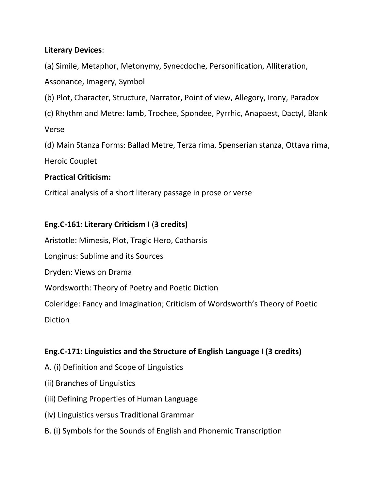# **Literary Devices**:

(a) Simile, Metaphor, Metonymy, Synecdoche, Personification, Alliteration,

Assonance, Imagery, Symbol

- (b) Plot, Character, Structure, Narrator, Point of view, Allegory, Irony, Paradox
- (c) Rhythm and Metre: Iamb, Trochee, Spondee, Pyrrhic, Anapaest, Dactyl, Blank

Verse

(d) Main Stanza Forms: Ballad Metre, Terza rima, Spenserian stanza, Ottava rima,

Heroic Couplet

# **Practical Criticism:**

Critical analysis of a short literary passage in prose or verse

# **Eng.C-161: Literary Criticism I** (**3 credits)**

Aristotle: Mimesis, Plot, Tragic Hero, Catharsis

Longinus: Sublime and its Sources

Dryden: Views on Drama

Wordsworth: Theory of Poetry and Poetic Diction

Coleridge: Fancy and Imagination; Criticism of Wordsworth's Theory of Poetic

Diction

# **Eng.C-171: Linguistics and the Structure of English Language I (3 credits)**

- A. (i) Definition and Scope of Linguistics
- (ii) Branches of Linguistics
- (iii) Defining Properties of Human Language
- (iv) Linguistics versus Traditional Grammar
- B. (i) Symbols for the Sounds of English and Phonemic Transcription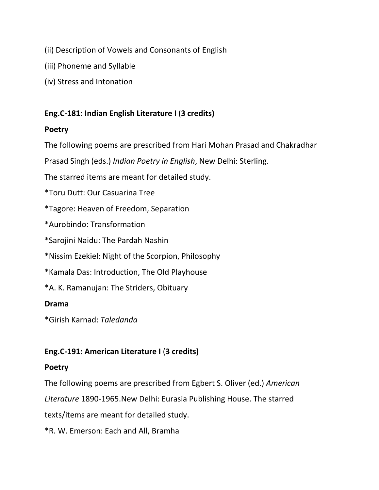- (ii) Description of Vowels and Consonants of English
- (iii) Phoneme and Syllable
- (iv) Stress and Intonation

# **Eng.C-181: Indian English Literature I** (**3 credits)**

# **Poetry**

The following poems are prescribed from Hari Mohan Prasad and Chakradhar

Prasad Singh (eds.) *Indian Poetry in English*, New Delhi: Sterling.

The starred items are meant for detailed study.

\*Toru Dutt: Our Casuarina Tree

\*Tagore: Heaven of Freedom, Separation

\*Aurobindo: Transformation

\*Sarojini Naidu: The Pardah Nashin

\*Nissim Ezekiel: Night of the Scorpion, Philosophy

\*Kamala Das: Introduction, The Old Playhouse

\*A. K. Ramanujan: The Striders, Obituary

### **Drama**

\*Girish Karnad: *Taledanda*

# **Eng.C-191: American Literature I** (**3 credits)**

### **Poetry**

The following poems are prescribed from Egbert S. Oliver (ed.) *American*

*Literature* 1890-1965.New Delhi: Eurasia Publishing House. The starred

texts/items are meant for detailed study.

\*R. W. Emerson: Each and All, Bramha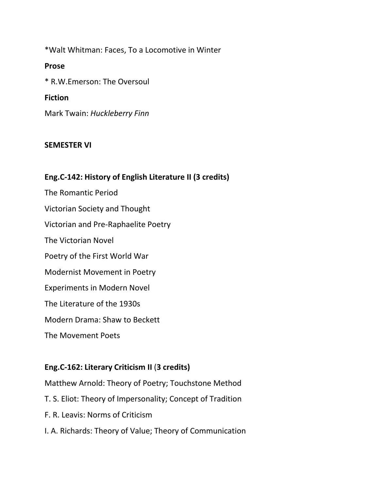\*Walt Whitman: Faces, To a Locomotive in Winter

### **Prose**

\* R.W.Emerson: The Oversoul

### **Fiction**

Mark Twain: *Huckleberry Finn*

### **SEMESTER VI**

### **Eng.C-142: History of English Literature II (3 credits)**

The Romantic Period Victorian Society and Thought Victorian and Pre-Raphaelite Poetry The Victorian Novel Poetry of the First World War Modernist Movement in Poetry Experiments in Modern Novel The Literature of the 1930s Modern Drama: Shaw to Beckett The Movement Poets

### **Eng.C-162: Literary Criticism II** (**3 credits)**

Matthew Arnold: Theory of Poetry; Touchstone Method

- T. S. Eliot: Theory of Impersonality; Concept of Tradition
- F. R. Leavis: Norms of Criticism
- I. A. Richards: Theory of Value; Theory of Communication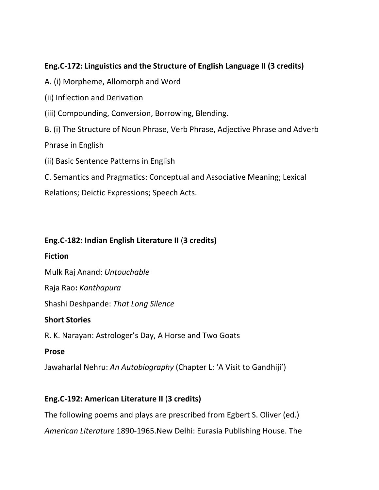# **Eng.C-172: Linguistics and the Structure of English Language II (3 credits)**

A. (i) Morpheme, Allomorph and Word

(ii) Inflection and Derivation

(iii) Compounding, Conversion, Borrowing, Blending.

B. (i) The Structure of Noun Phrase, Verb Phrase, Adjective Phrase and Adverb

Phrase in English

(ii) Basic Sentence Patterns in English

C. Semantics and Pragmatics: Conceptual and Associative Meaning; Lexical

Relations; Deictic Expressions; Speech Acts.

# **Eng.C-182: Indian English Literature II** (**3 credits)**

### **Fiction**

Mulk Raj Anand: *Untouchable*

Raja Rao**:** *Kanthapura*

Shashi Deshpande: *That Long Silence*

# **Short Stories**

R. K. Narayan: Astrologer's Day, A Horse and Two Goats

### **Prose**

Jawaharlal Nehru: *An Autobiography* (Chapter L: 'A Visit to Gandhiji')

# **Eng.C-192: American Literature II** (**3 credits)**

The following poems and plays are prescribed from Egbert S. Oliver (ed.)

*American Literature* 1890-1965.New Delhi: Eurasia Publishing House. The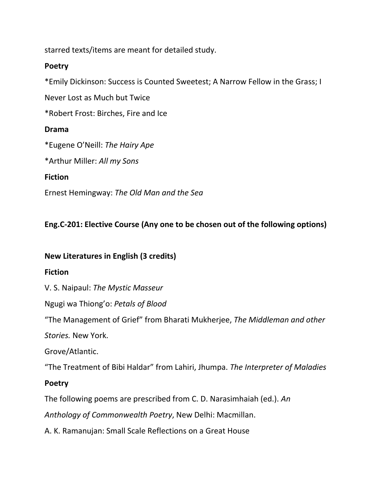starred texts/items are meant for detailed study.

# **Poetry**

\*Emily Dickinson: Success is Counted Sweetest; A Narrow Fellow in the Grass; I

Never Lost as Much but Twice

\*Robert Frost: Birches, Fire and Ice

# **Drama**

\*Eugene O'Neill: *The Hairy Ape*

\*Arthur Miller: *All my Sons*

# **Fiction**

Ernest Hemingway: *The Old Man and the Sea*

# **Eng.C-201: Elective Course (Any one to be chosen out of the following options)**

# **New Literatures in English (3 credits)**

# **Fiction**

V. S. Naipaul: *The Mystic Masseur*

Ngugi wa Thiong'o: *Petals of Blood*

"The Management of Grief" from Bharati Mukherjee, *The Middleman and other* 

*Stories.* New York.

Grove/Atlantic.

"The Treatment of Bibi Haldar" from Lahiri, Jhumpa. *The Interpreter of Maladies*

# **Poetry**

The following poems are prescribed from C. D. Narasimhaiah (ed.). *An*

*Anthology of Commonwealth Poetry*, New Delhi: Macmillan.

A. K. Ramanujan: Small Scale Reflections on a Great House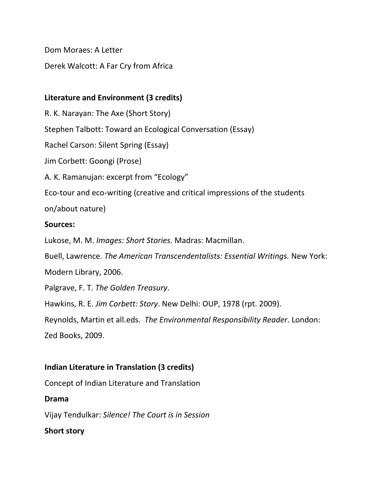Dom Moraes: A Letter

Derek Walcott: A Far Cry from Africa

# **Literature and Environment (3 credits)**

R. K. Narayan: The Axe (Short Story)

Stephen Talbott: Toward an Ecological Conversation (Essay)

Rachel Carson: Silent Spring (Essay)

Jim Corbett: Goongi (Prose)

A. K. Ramanujan: excerpt from "Ecology"

Eco-tour and eco-writing (creative and critical impressions of the students

on/about nature)

# **Sources:**

Lukose, M. M. *Images: Short Stories.* Madras: Macmillan.

Buell, Lawrence. *The American Transcendentalists: Essential Writings.* New York:

Modern Library, 2006.

Palgrave, F. T. *The Golden Treasury*.

Hawkins, R. E. *Jim Corbett: Story*. New Delhi: OUP, 1978 (rpt. 2009).

Reynolds, Martin et all.eds. *The Environmental Responsibility Reader*. London: Zed Books, 2009.

# **Indian Literature in Translation (3 credits)**

Concept of Indian Literature and Translation

# **Drama**

Vijay Tendulkar: *Silence! The Court is in Session*

# **Short story**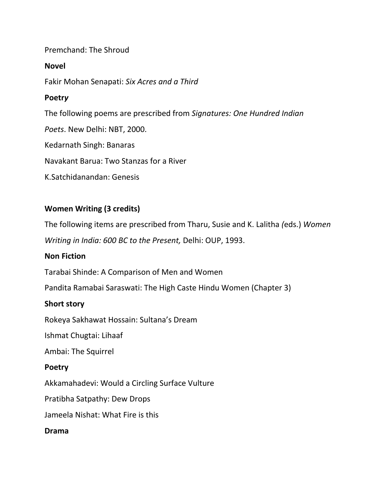### Premchand: The Shroud

### **Novel**

Fakir Mohan Senapati: *Six Acres and a Third*

### **Poetr***y*

The following poems are prescribed from *Signatures: One Hundred Indian*

*Poets*. New Delhi: NBT, 2000.

Kedarnath Singh: Banaras

Navakant Barua: Two Stanzas for a River

K.Satchidanandan: Genesis

# **Women Writing (3 credits)**

The following items are prescribed from Tharu, Susie and K. Lalitha *(*eds.) *Women* 

*Writing in India: 600 BC to the Present,* Delhi: OUP, 1993.

### **Non Fiction**

Tarabai Shinde: A Comparison of Men and Women

Pandita Ramabai Saraswati: The High Caste Hindu Women (Chapter 3)

#### **Short story**

Rokeya Sakhawat Hossain: Sultana's Dream

Ishmat Chugtai: Lihaaf

Ambai: The Squirrel

#### **Poetry**

Akkamahadevi: Would a Circling Surface Vulture

Pratibha Satpathy: Dew Drops

Jameela Nishat: What Fire is this

#### **Drama**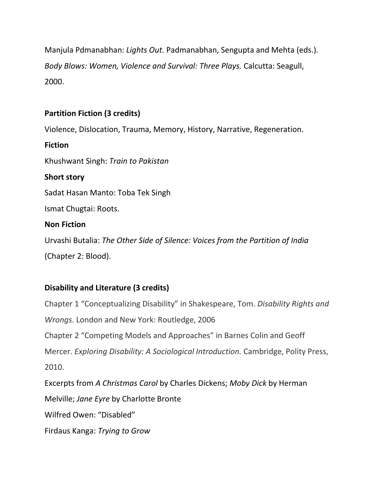Manjula Pdmanabhan: *Lights Out*. Padmanabhan, Sengupta and Mehta (eds.)*. Body Blows: Women, Violence and Survival: Three Plays.* Calcutta: Seagull, 2000.

# **Partition Fiction (3 credits)**

Violence, Dislocation, Trauma, Memory, History, Narrative, Regeneration.

Khushwant Singh: *Train to Pakistan*

**Short story**

**Fiction**

Sadat Hasan Manto: Toba Tek Singh

Ismat Chugtai: Roots.

### **Non Fiction**

Urvashi Butalia: *The Other Side of Silence: Voices from the Partition of India* (Chapter 2: Blood).

# **Disability and Literature (3 credits)**

Chapter 1 "Conceptualizing Disability" in Shakespeare, Tom. *Disability Rights and Wrongs*. London and New York: Routledge, 2006 Chapter 2 "Competing Models and Approaches" in Barnes Colin and Geoff Mercer. *Exploring Disability: A Sociological Introduction.* Cambridge, Polity Press, 2010. Excerpts from *A Christmas Carol* by Charles Dickens; *Moby Dick* by Herman Melville; *Jane Eyre* by Charlotte Bronte Wilfred Owen: "Disabled"

Firdaus Kanga: *Trying to Grow*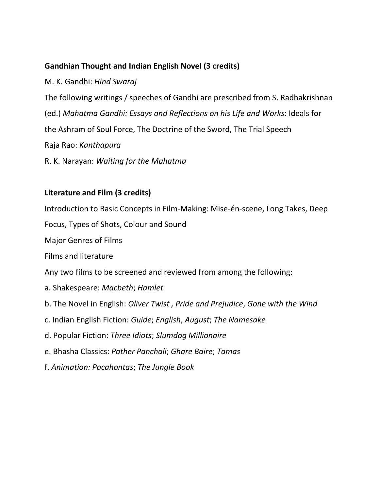# **Gandhian Thought and Indian English Novel (3 credits)**

M. K. Gandhi: *Hind Swaraj* The following writings / speeches of Gandhi are prescribed from S. Radhakrishnan (ed.) *Mahatma Gandhi: Essays and Reflections on his Life and Works*: Ideals for the Ashram of Soul Force, The Doctrine of the Sword, The Trial Speech Raja Rao: *Kanthapura*

R. K. Narayan: *Waiting for the Mahatma*

# **Literature and Film (3 credits)**

Introduction to Basic Concepts in Film-Making: Mise-én-scene, Long Takes, Deep Focus, Types of Shots, Colour and Sound Major Genres of Films Films and literature Any two films to be screened and reviewed from among the following: a. Shakespeare: *Macbeth*; *Hamlet* b. The Novel in English: *Oliver Twist , Pride and Prejudice*, *Gone with the Wind* c. Indian English Fiction: *Guide*; *English*, *August*; *The Namesake* d. Popular Fiction: *Three Idiots*; *Slumdog Millionaire* e. Bhasha Classics: *Pather Panchali*; *Ghare Baire*; *Tamas* f. *Animation: Pocahontas*; *The Jungle Book*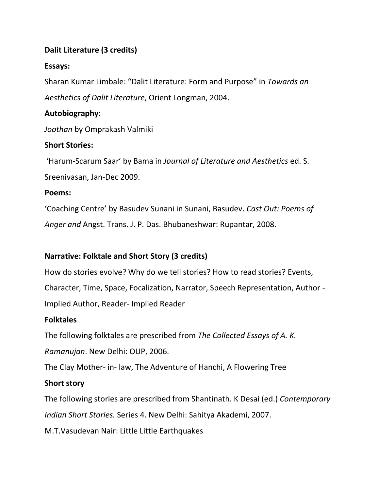# **Dalit Literature (3 credits)**

# **Essays:**

Sharan Kumar Limbale: "Dalit Literature: Form and Purpose" in *Towards an Aesthetics of Dalit Literature*, Orient Longman, 2004.

# **Autobiography:**

*Joothan* by Omprakash Valmiki

# **Short Stories:**

'Harum-Scarum Saar' by Bama in *Journal of Literature and Aesthetics* ed. S. Sreenivasan, Jan-Dec 2009.

### **Poems:**

'Coaching Centre' by Basudev Sunani in Sunani, Basudev. *Cast Out: Poems of Anger and* Angst. Trans. J. P. Das. Bhubaneshwar: Rupantar, 2008.

# **Narrative: Folktale and Short Story (3 credits)**

How do stories evolve? Why do we tell stories? How to read stories? Events, Character, Time, Space, Focalization, Narrator, Speech Representation, Author - Implied Author, Reader- Implied Reader

### **Folktales**

The following folktales are prescribed from *The Collected Essays of A. K.* 

*Ramanujan*. New Delhi: OUP, 2006.

The Clay Mother- in- law, The Adventure of Hanchi, A Flowering Tree

# **Short story**

The following stories are prescribed from Shantinath. K Desai (ed.) *Contemporary Indian Short Stories.* Series 4. New Delhi: Sahitya Akademi, 2007.

M.T.Vasudevan Nair: Little Little Earthquakes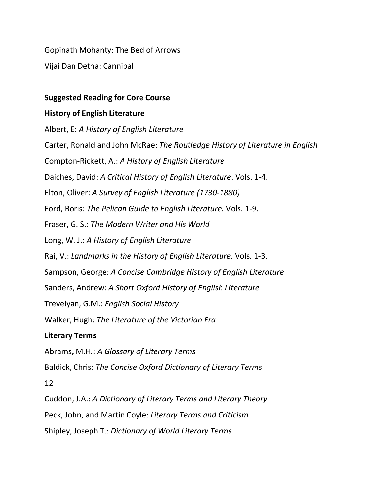Gopinath Mohanty: The Bed of Arrows

Vijai Dan Detha: Cannibal

### **Suggested Reading for Core Course**

### **History of English Literature**

Albert, E: *A History of English Literature* Carter, Ronald and John McRae: *The Routledge History of Literature in English* Compton-Rickett, A.: *A History of English Literature* Daiches, David: *A Critical History of English Literature*. Vols. 1-4. Elton, Oliver: *A Survey of English Literature (1730-1880)* Ford, Boris: *The Pelican Guide to English Literature.* Vols. 1-9. Fraser, G. S.: *The Modern Writer and His World* Long, W. J.: *A History of English Literature* Rai, V.: *Landmarks in the History of English Literature.* Vols*.* 1-3. Sampson, George*: A Concise Cambridge History of English Literature* Sanders, Andrew: *A Short Oxford History of English Literature* Trevelyan, G.M.: *English Social History* Walker, Hugh: *The Literature of the Victorian Era* **Literary Terms** Abrams**,** M.H.: *A Glossary of Literary Terms* Baldick, Chris: *The Concise Oxford Dictionary of Literary Terms* 12 Cuddon, J.A.: *A Dictionary of Literary Terms and Literary Theory* Peck, John, and Martin Coyle: *Literary Terms and Criticism*

Shipley, Joseph T.: *Dictionary of World Literary Terms*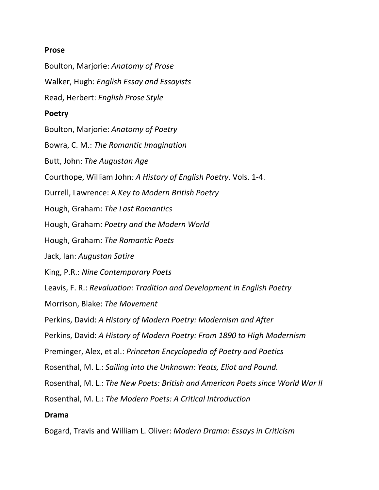#### **Prose**

Boulton, Marjorie: *Anatomy of Prose* Walker, Hugh: *English Essay and Essayists* Read, Herbert: *English Prose Style* **Poetry** Boulton, Marjorie: *Anatomy of Poetry* Bowra, C. M.: *The Romantic Imagination* Butt, John: *The Augustan Age* Courthope, William John*: A History of English Poetry*. Vols. 1-4. Durrell, Lawrence: A *Key to Modern British Poetry* Hough, Graham: *The Last Romantics* Hough, Graham: *Poetry and the Modern World* Hough, Graham: *The Romantic Poets* Jack, Ian: *Augustan Satire* King, P.R.: *Nine Contemporary Poets* Leavis, F. R.: *Revaluation: Tradition and Development in English Poetry* Morrison, Blake: *The Movement* Perkins, David: *A History of Modern Poetry: Modernism and After* Perkins, David: *A History of Modern Poetry: From 1890 to High Modernism* Preminger, Alex, et al.: *Princeton Encyclopedia of Poetry and Poetics* Rosenthal, M. L.: *Sailing into the Unknown: Yeats, Eliot and Pound.* Rosenthal, M. L.: *The New Poets: British and American Poets since World War II* Rosenthal, M. L.: *The Modern Poets: A Critical Introduction* **Drama**

Bogard, Travis and William L. Oliver: *Modern Drama: Essays in Criticism*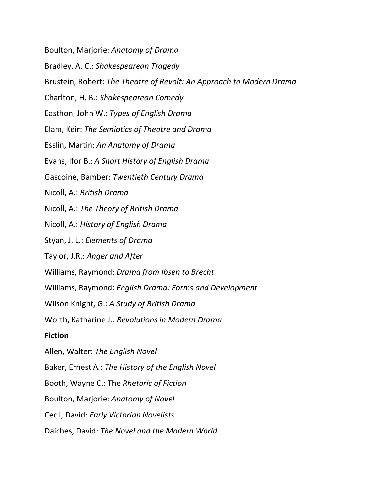Boulton, Marjorie: *Anatomy of Drama*

Bradley, A. C.: *Shakespearean Tragedy*

Brustein, Robert: *The Theatre of Revolt: An Approach to Modern Drama*

Charlton, H. B.: *Shakespearean Comedy*

Easthon, John W.: *Types of English Drama*

Elam, Keir: *The Semiotics of Theatre and Drama*

Esslin, Martin: *An Anatomy of Drama*

Evans, Ifor B.: *A Short History of English Drama*

Gascoine, Bamber: *Twentieth Century Drama*

Nicoll, A.: *British Drama*

Nicoll, A.: *The Theory of British Drama*

Nicoll, A.: *History of English Drama*

Styan, J. L.: *Elements of Drama*

Taylor, J.R.: *Anger and After*

Williams, Raymond: *Drama from Ibsen to Brecht*

Williams, Raymond: *English Drama: Forms and Development*

Wilson Knight, G.: *A Study of British Drama*

Worth, Katharine J.: *Revolutions in Modern Drama*

#### **Fiction**

Allen, Walter: *The English Novel*

Baker, Ernest A*.*: *The History of the English Novel*

Booth, Wayne C.: The *Rhetoric of Fiction*

Boulton, Marjorie: *Anatomy of Novel*

Cecil, David: *Early Victorian Novelists*

Daiches, David: *The Novel and the Modern World*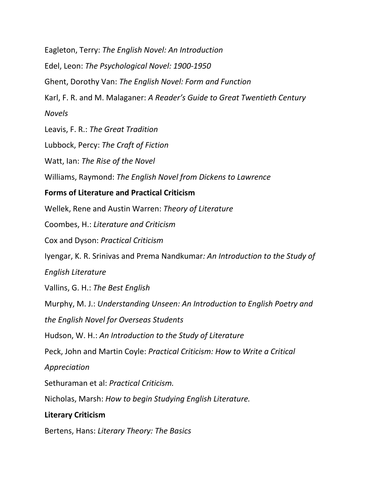Eagleton, Terry: *The English Novel: An Introduction* Edel, Leon: *The Psychological Novel: 1900-1950* Ghent, Dorothy Van: *The English Novel: Form and Function* Karl, F. R. and M. Malaganer: *A Reader's Guide to Great Twentieth Century Novels* Leavis, F. R.: *The Great Tradition* Lubbock, Percy: *The Craft of Fiction* Watt, Ian: *The Rise of the Novel* Williams, Raymond: *The English Novel from Dickens to Lawrence* **Forms of Literature and Practical Criticism** Wellek, Rene and Austin Warren: *Theory of Literature* Coombes, H.: *Literature and Criticism* Cox and Dyson: *Practical Criticism* Iyengar, K. R. Srinivas and Prema Nandkumar*: An Introduction to the Study of English Literature* Vallins, G. H.: *The Best English* Murphy, M. J.: *Understanding Unseen: An Introduction to English Poetry and the English Novel for Overseas Students* Hudson, W. H.: *An Introduction to the Study of Literature* Peck, John and Martin Coyle: *Practical Criticism: How to Write a Critical Appreciation* Sethuraman et al: *Practical Criticism.* Nicholas, Marsh: *How to begin Studying English Literature.* **Literary Criticism**

Bertens, Hans: *Literary Theory: The Basics*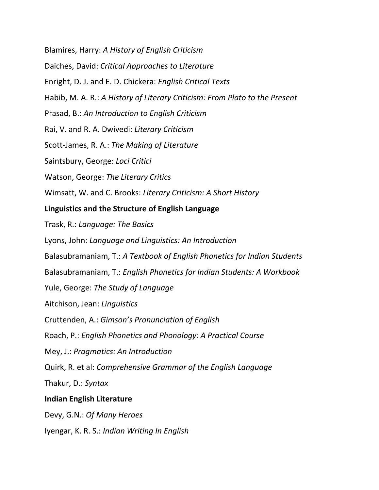Blamires, Harry: *A History of English Criticism* Daiches, David: *Critical Approaches to Literature* Enright, D. J. and E. D. Chickera: *English Critical Texts* Habib, M. A. R.: *A History of Literary Criticism: From Plato to the Present* Prasad, B.: *An Introduction to English Criticism* Rai, V. and R. A. Dwivedi: *Literary Criticism* Scott-James, R. A.: *The Making of Literature* Saintsbury, George: *Loci Critici* Watson, George: *The Literary Critics* Wimsatt, W. and C. Brooks: *Literary Criticism: A Short History* **Linguistics and the Structure of English Language** Trask, R.: *Language: The Basics* Lyons, John: *Language and Linguistics: An Introduction* Balasubramaniam, T.: *A Textbook of English Phonetics for Indian Students* Balasubramaniam, T.: *English Phonetics for Indian Students: A Workbook* Yule, George: *The Study of Language* Aitchison, Jean: *Linguistics* Cruttenden, A.: *Gimson's Pronunciation of English* Roach, P.: *English Phonetics and Phonology: A Practical Course* Mey, J.: *Pragmatics: An Introduction* Quirk, R. et al: *Comprehensive Grammar of the English Language* Thakur, D.: *Syntax* **Indian English Literature** Devy, G.N.: *Of Many Heroes* Iyengar, K. R. S.: *Indian Writing In English*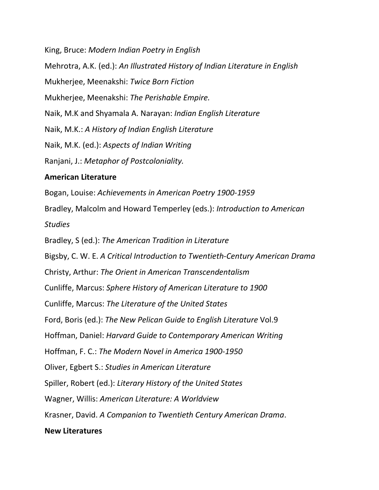King, Bruce: *Modern Indian Poetry in English* Mehrotra, A.K. (ed.): *An Illustrated History of Indian Literature in English* Mukherjee, Meenakshi: *Twice Born Fiction* Mukherjee, Meenakshi: *The Perishable Empire.* Naik, M.K and Shyamala A. Narayan: *Indian English Literature* Naik, M.K.: *A History of Indian English Literature* Naik, M.K. (ed.): *Aspects of Indian Writing* Ranjani, J.: *Metaphor of Postcoloniality.* **American Literature** Bogan, Louise: *Achievements in American Poetry 1900-1959* Bradley, Malcolm and Howard Temperley (eds.): *Introduction to American Studies* Bradley, S (ed.): *The American Tradition in Literature* Bigsby, C. W. E. *A Critical Introduction to Twentieth-Century American Drama*

Christy, Arthur: *The Orient in American Transcendentalism*

Cunliffe, Marcus: *Sphere History of American Literature to 1900*

Cunliffe, Marcus: *The Literature of the United States*

Ford, Boris (ed.): *The New Pelican Guide to English Literature* Vol.9

Hoffman, Daniel: *Harvard Guide to Contemporary American Writing*

Hoffman, F. C.: *The Modern Novel in America 1900-1950*

Oliver, Egbert S.: *Studies in American Literature*

Spiller, Robert (ed.): *Literary History of the United States*

Wagner, Willis: *American Literature: A Worldview*

Krasner, David. *A Companion to Twentieth Century American Drama*.

#### **New Literatures**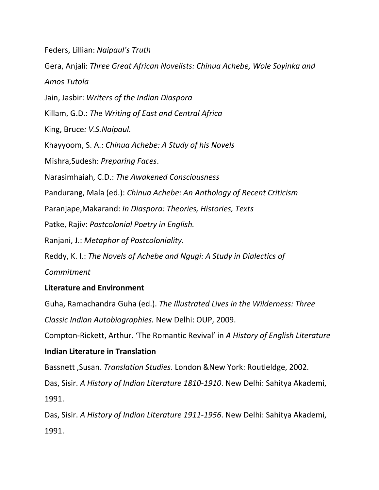Feders, Lillian: *Naipaul's Truth*

Gera, Anjali: *Three Great African Novelists: Chinua Achebe, Wole Soyinka and*

*Amos Tutola*

Jain, Jasbir: *Writers of the Indian Diaspora*

Killam, G.D.: *The Writing of East and Central Africa*

King, Bruce*: V.S.Naipaul.*

Khayyoom, S. A.: *Chinua Achebe: A Study of his Novels*

Mishra,Sudesh: *Preparing Faces*.

Narasimhaiah, C.D.: *The Awakened Consciousness*

Pandurang, Mala (ed.): *Chinua Achebe: An Anthology of Recent Criticism*

Paranjape,Makarand: *In Diaspora: Theories, Histories, Texts*

Patke, Rajiv: *Postcolonial Poetry in English.*

Ranjani, J.: *Metaphor of Postcoloniality.*

Reddy, K. I.: *The Novels of Achebe and Ngugi: A Study in Dialectics of*

*Commitment*

# **Literature and Environment**

Guha, Ramachandra Guha (ed.). *The Illustrated Lives in the Wilderness: Three Classic Indian Autobiographies.* New Delhi: OUP, 2009.

Compton-Rickett, Arthur. 'The Romantic Revival' in *A History of English Literature* 

# **Indian Literature in Translation**

Bassnett ,Susan. *Translation Studies*. London &New York: Routleldge, 2002.

Das, Sisir. *A History of Indian Literature 1810-1910*. New Delhi: Sahitya Akademi,

1991.

Das, Sisir. *A History of Indian Literature 1911-1956*. New Delhi: Sahitya Akademi, 1991.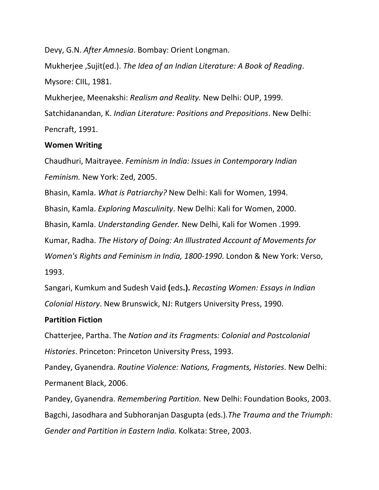Devy, G.N. *After Amnesia*. Bombay: Orient Longman. Mukherjee ,Sujit(ed.). *The Idea of an Indian Literature: A Book of Reading*. Mysore: CIIL, 1981. Mukherjee, Meenakshi: *Realism and Reality.* New Delhi: OUP, 1999.

Satchidanandan, K. *Indian Literature: Positions and Prepositions*. New Delhi: Pencraft, 1991.

#### **Women Writing**

Chaudhuri, Maitrayee. *Feminism in India: Issues in Contemporary Indian Feminism.* New York: Zed, 2005.

Bhasin, Kamla. *What is Patriarchy?* New Delhi: Kali for Women, 1994.

Bhasin, Kamla. *Exploring Masculinity*. New Delhi: Kali for Women, 2000.

Bhasin, Kamla. *Understanding Gender.* New Delhi, Kali for Women .1999.

Kumar, Radha. *The History of Doing: An Illustrated Account of Movements for* 

*Women's Rights and Feminism in India, 1800-1990*. London & New York: Verso,

1993.

Sangari, Kumkum and Sudesh Vaid **(**eds**.).** *Recasting Women: Essays in Indian Colonial History*. New Brunswick, NJ: Rutgers University Press, 1990.

#### **Partition Fiction**

Chatterjee, Partha. The *Nation and its Fragments: Colonial and Postcolonial Histories*. Princeton: Princeton University Press, 1993.

Pandey, Gyanendra. *Routine Violence: Nations, Fragments, Histories*. New Delhi: Permanent Black, 2006.

Pandey, Gyanendra. *Remembering Partition.* New Delhi: Foundation Books, 2003. Bagchi, Jasodhara and Subhoranjan Dasgupta (eds.)*.The Trauma and the Triumph: Gender and Partition in Eastern India.* Kolkata: Stree, 2003.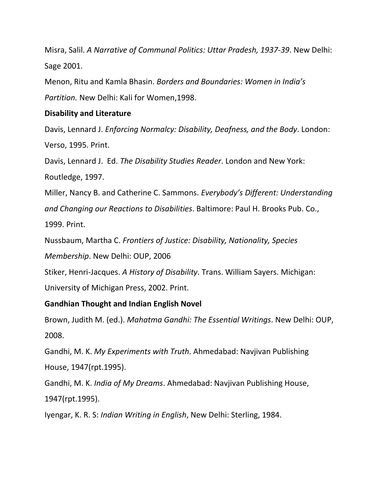Misra, Salil. *A Narrative of Communal Politics: Uttar Pradesh, 1937-39*. New Delhi: Sage 2001.

Menon, Ritu and Kamla Bhasin. *Borders and Boundaries: Women in India's Partition.* New Delhi: Kali for Women,1998.

### **Disability and Literature**

Davis, Lennard J. *Enforcing Normalcy: Disability, Deafness, and the Body*. London: Verso, 1995. Print.

Davis, Lennard J. Ed. *The Disability Studies Reader*. London and New York: Routledge, 1997.

Miller, Nancy B. and Catherine C. Sammons. *Everybody's Different: Understanding and Changing our Reactions to Disabilities*. Baltimore: Paul H. Brooks Pub. Co., 1999. Print.

Nussbaum, Martha C. *Frontiers of Justice: Disability, Nationality, Species* 

*Membership*. New Delhi: OUP, 2006

Stiker, Henri-Jacques. *A History of Disability*. Trans. William Sayers. Michigan:

University of Michigan Press, 2002. Print.

### **Gandhian Thought and Indian English Novel**

Brown, Judith M. (ed.). *Mahatma Gandhi: The Essential Writings*. New Delhi: OUP, 2008.

Gandhi, M. K. *My Experiments with Truth*. Ahmedabad: Navjivan Publishing House, 1947(rpt.1995).

Gandhi, M. K. *India of My Dreams*. Ahmedabad: Navjivan Publishing House, 1947(rpt.1995).

Iyengar, K. R. S: *Indian Writing in English*, New Delhi: Sterling, 1984.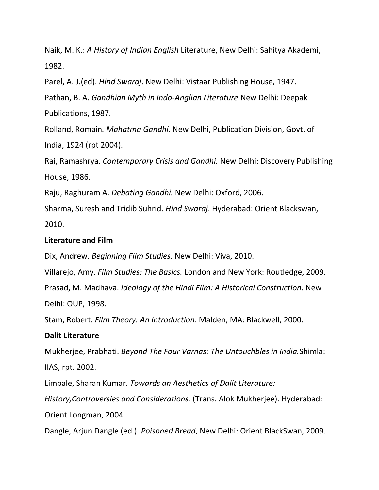Naik, M. K.: *A History of Indian English* Literature, New Delhi: Sahitya Akademi, 1982.

Parel, A. J.(ed). *Hind Swaraj*. New Delhi: Vistaar Publishing House, 1947.

Pathan, B. A. *Gandhian Myth in Indo-Anglian Literature.*New Delhi: Deepak Publications, 1987.

Rolland, Romain*. Mahatma Gandhi*. New Delhi, Publication Division, Govt. of India, 1924 (rpt 2004).

Rai, Ramashrya. *Contemporary Crisis and Gandhi.* New Delhi: Discovery Publishing House, 1986.

Raju, Raghuram A. *Debating Gandhi.* New Delhi: Oxford, 2006.

Sharma, Suresh and Tridib Suhrid. *Hind Swaraj*. Hyderabad: Orient Blackswan, 2010.

#### **Literature and Film**

Dix, Andrew. *Beginning Film Studies.* New Delhi: Viva, 2010.

Villarejo, Amy. *Film Studies: The Basics.* London and New York: Routledge, 2009.

Prasad, M. Madhava. *Ideology of the Hindi Film: A Historical Construction*. New

Delhi: OUP, 1998.

Stam, Robert. *Film Theory: An Introduction*. Malden, MA: Blackwell, 2000.

#### **Dalit Literature**

Mukherjee, Prabhati. *Beyond The Four Varnas: The Untouchbles in India.*Shimla: IIAS, rpt. 2002.

Limbale, Sharan Kumar. *Towards an Aesthetics of Dalit Literature:* 

*History,Controversies and Considerations.* (Trans. Alok Mukherjee). Hyderabad: Orient Longman, 2004.

Dangle, Arjun Dangle (ed.). *Poisoned Bread*, New Delhi: Orient BlackSwan, 2009.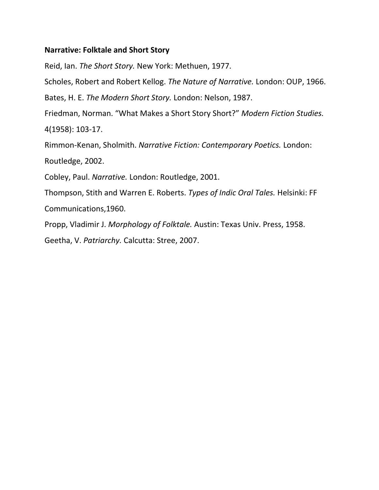### **Narrative: Folktale and Short Story**

Reid, Ian. *The Short Story.* New York: Methuen, 1977. Scholes, Robert and Robert Kellog. *The Nature of Narrative.* London: OUP, 1966. Bates, H. E. *The Modern Short Story.* London: Nelson, 1987. Friedman, Norman. "What Makes a Short Story Short?" *Modern Fiction Studies.*  4(1958): 103-17. Rimmon-Kenan, Sholmith. *Narrative Fiction: Contemporary Poetics.* London: Routledge, 2002. Cobley, Paul. *Narrative.* London: Routledge, 2001. Thompson, Stith and Warren E. Roberts. *Types of Indic Oral Tales.* Helsinki: FF Communications,1960. Propp, Vladimir J. *Morphology of Folktale.* Austin: Texas Univ. Press, 1958. Geetha, V. *Patriarchy.* Calcutta: Stree, 2007.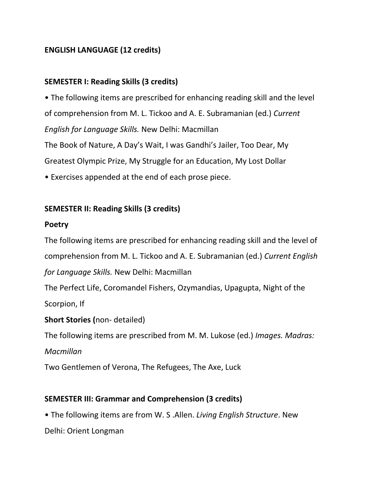# **ENGLISH LANGUAGE (12 credits)**

### **SEMESTER I: Reading Skills (3 credits)**

• The following items are prescribed for enhancing reading skill and the level of comprehension from M. L. Tickoo and A. E. Subramanian (ed.) *Current English for Language Skills.* New Delhi: Macmillan The Book of Nature, A Day's Wait, I was Gandhi's Jailer, Too Dear, My Greatest Olympic Prize, My Struggle for an Education, My Lost Dollar • Exercises appended at the end of each prose piece.

# **SEMESTER II: Reading Skills (3 credits)**

### **Poetry**

The following items are prescribed for enhancing reading skill and the level of comprehension from M. L. Tickoo and A. E. Subramanian (ed.) *Current English for Language Skills.* New Delhi: Macmillan

The Perfect Life, Coromandel Fishers, Ozymandias, Upagupta, Night of the Scorpion, If

### **Short Stories (**non- detailed)

The following items are prescribed from M. M. Lukose (ed.) *Images. Madras:*

#### *Macmillan*

Two Gentlemen of Verona, The Refugees, The Axe, Luck

### **SEMESTER III: Grammar and Comprehension (3 credits)**

• The following items are from W. S .Allen. *Living English Structure*. New

Delhi: Orient Longman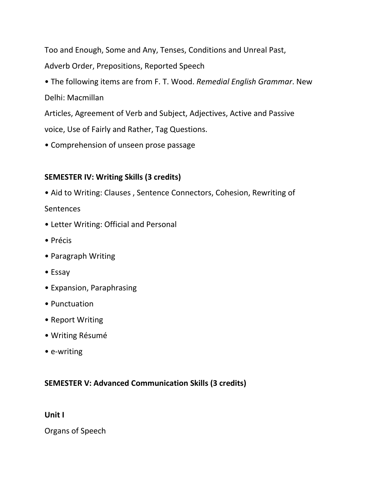Too and Enough, Some and Any, Tenses, Conditions and Unreal Past, Adverb Order, Prepositions, Reported Speech

• The following items are from F. T. Wood. *Remedial English Grammar*. New Delhi: Macmillan

Articles, Agreement of Verb and Subject, Adjectives, Active and Passive voice, Use of Fairly and Rather, Tag Questions.

• Comprehension of unseen prose passage

# **SEMESTER IV: Writing Skills (3 credits)**

• Aid to Writing: Clauses , Sentence Connectors, Cohesion, Rewriting of Sentences

- Letter Writing: Official and Personal
- Précis
- Paragraph Writing
- Essay
- Expansion, Paraphrasing
- Punctuation
- Report Writing
- Writing Résumé
- e-writing

### **SEMESTER V: Advanced Communication Skills (3 credits)**

**Unit I**

Organs of Speech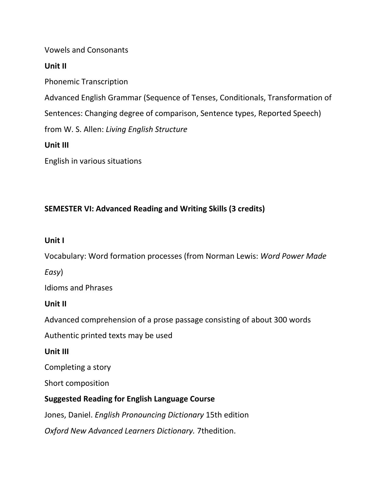Vowels and Consonants

**Unit II**

Phonemic Transcription

Advanced English Grammar (Sequence of Tenses, Conditionals, Transformation of

Sentences: Changing degree of comparison, Sentence types, Reported Speech)

from W. S. Allen: *Living English Structure*

**Unit III**

English in various situations

# **SEMESTER VI: Advanced Reading and Writing Skills (3 credits)**

# **Unit I**

Vocabulary: Word formation processes (from Norman Lewis: *Word Power Made* 

*Easy*)

Idioms and Phrases

# **Unit II**

Advanced comprehension of a prose passage consisting of about 300 words

Authentic printed texts may be used

**Unit III**

Completing a story

Short composition

# **Suggested Reading for English Language Course**

Jones, Daniel. *English Pronouncing Dictionary* 15th edition

*Oxford New Advanced Learners Dictionary.* 7thedition.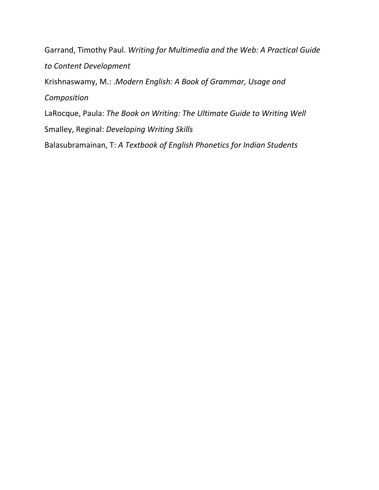Garrand, Timothy Paul. *Writing for Multimedia and the Web: A Practical Guide to Content Development* Krishnaswamy, M.: .*Modern English: A Book of Grammar, Usage and Composition* LaRocque, Paula: *The Book on Writing: The Ultimate Guide to Writing Well* Smalley, Reginal: *Developing Writing Skills* Balasubramainan, T: *A Textbook of English Phonetics for Indian Students*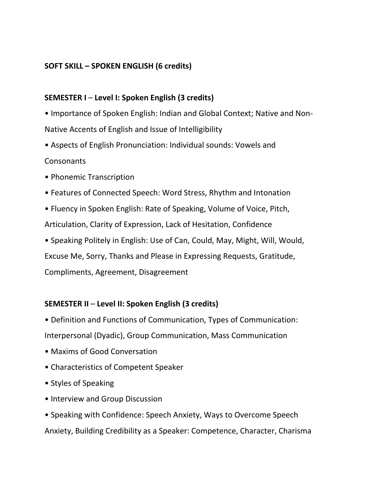### **SOFT SKILL – SPOKEN ENGLISH (6 credits)**

# **SEMESTER I** – **Level I: Spoken English (3 credits)**

• Importance of Spoken English: Indian and Global Context; Native and Non-Native Accents of English and Issue of Intelligibility

- Aspects of English Pronunciation: Individual sounds: Vowels and Consonants
- Phonemic Transcription
- Features of Connected Speech: Word Stress, Rhythm and Intonation
- Fluency in Spoken English: Rate of Speaking, Volume of Voice, Pitch,

Articulation, Clarity of Expression, Lack of Hesitation, Confidence

• Speaking Politely in English: Use of Can, Could, May, Might, Will, Would,

Excuse Me, Sorry, Thanks and Please in Expressing Requests, Gratitude,

Compliments, Agreement, Disagreement

# **SEMESTER II** – **Level II: Spoken English (3 credits)**

• Definition and Functions of Communication, Types of Communication:

Interpersonal (Dyadic), Group Communication, Mass Communication

- Maxims of Good Conversation
- Characteristics of Competent Speaker
- Styles of Speaking
- Interview and Group Discussion
- Speaking with Confidence: Speech Anxiety, Ways to Overcome Speech Anxiety, Building Credibility as a Speaker: Competence, Character, Charisma